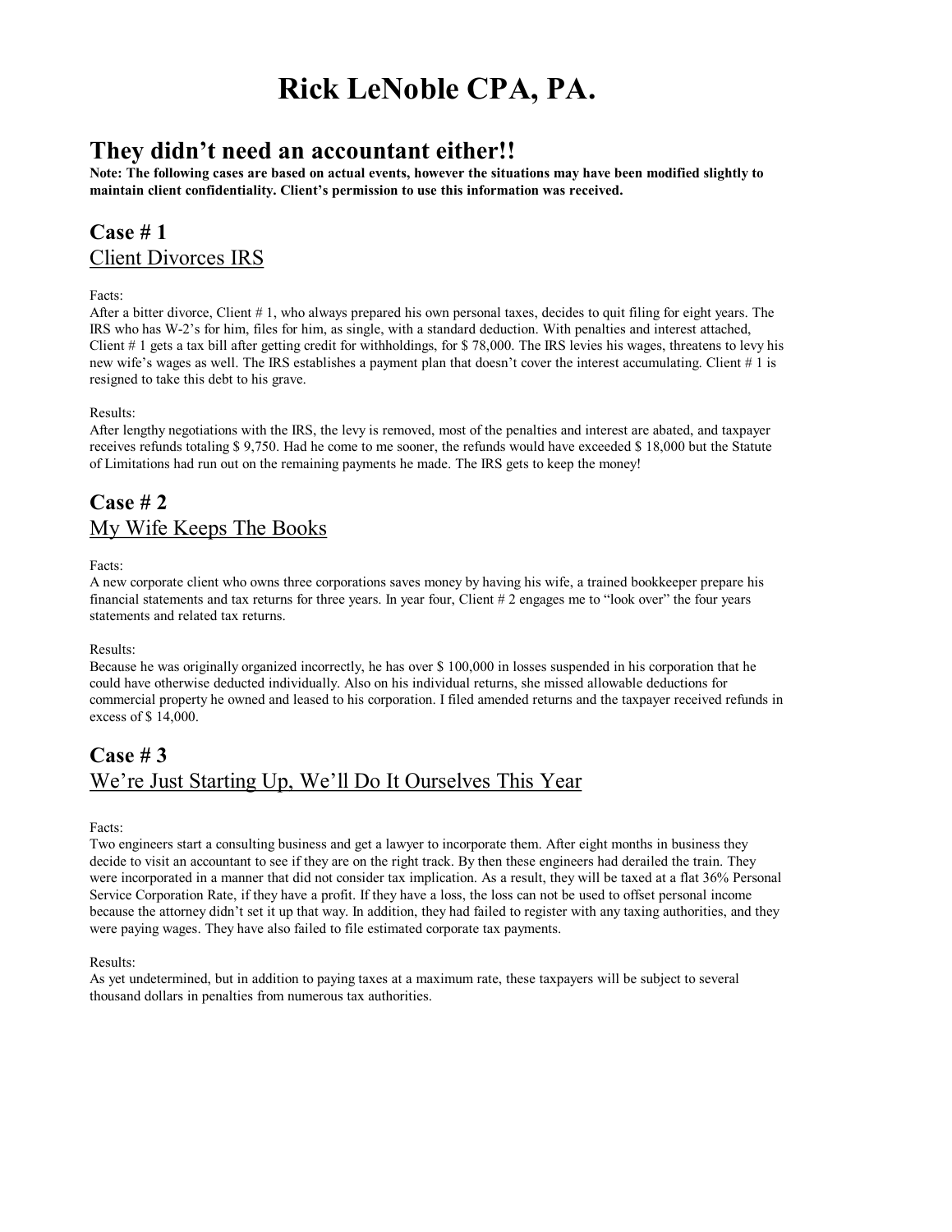# **Rick LeNoble CPA, PA.**

## **They didn't need an accountant either!!**

**Note: The following cases are based on actual events, however the situations may have been modified slightly to maintain client confidentiality. Client's permission to use this information was received.**

### **Case # 1** Client Divorces IRS

#### Facts:

After a bitter divorce, Client # 1, who always prepared his own personal taxes, decides to quit filing for eight years. The IRS who has W2's for him, files for him, as single, with a standard deduction. With penalties and interest attached, Client # 1 gets a tax bill after getting credit for withholdings, for \$ 78,000. The IRS levies his wages, threatens to levy his new wife's wages as well. The IRS establishes a payment plan that doesn't cover the interest accumulating. Client # 1 is resigned to take this debt to his grave.

#### Results:

After lengthy negotiations with the IRS, the levy is removed, most of the penalties and interest are abated, and taxpayer receives refunds totaling \$ 9,750. Had he come to me sooner, the refunds would have exceeded \$ 18,000 but the Statute of Limitations had run out on the remaining payments he made. The IRS gets to keep the money!

### **Case # 2** My Wife Keeps The Books

Facts:

A new corporate client who owns three corporations saves money by having his wife, a trained bookkeeper prepare his financial statements and tax returns for three years. In year four, Client # 2 engages me to "look over" the four years statements and related tax returns.

#### Results:

Because he was originally organized incorrectly, he has over \$ 100,000 in losses suspended in his corporation that he could have otherwise deducted individually. Also on his individual returns, she missed allowable deductions for commercial property he owned and leased to his corporation. I filed amended returns and the taxpayer received refunds in excess of \$ 14,000.

### **Case # 3** We're Just Starting Up, We'll Do It Ourselves This Year

Facts:

Two engineers start a consulting business and get a lawyer to incorporate them. After eight months in business they decide to visit an accountant to see if they are on the right track. By then these engineers had derailed the train. They were incorporated in a manner that did not consider tax implication. As a result, they will be taxed at a flat 36% Personal Service Corporation Rate, if they have a profit. If they have a loss, the loss can not be used to offset personal income because the attorney didn't set it up that way. In addition, they had failed to register with any taxing authorities, and they were paying wages. They have also failed to file estimated corporate tax payments.

#### Results:

As yet undetermined, but in addition to paying taxes at a maximum rate, these taxpayers will be subject to several thousand dollars in penalties from numerous tax authorities.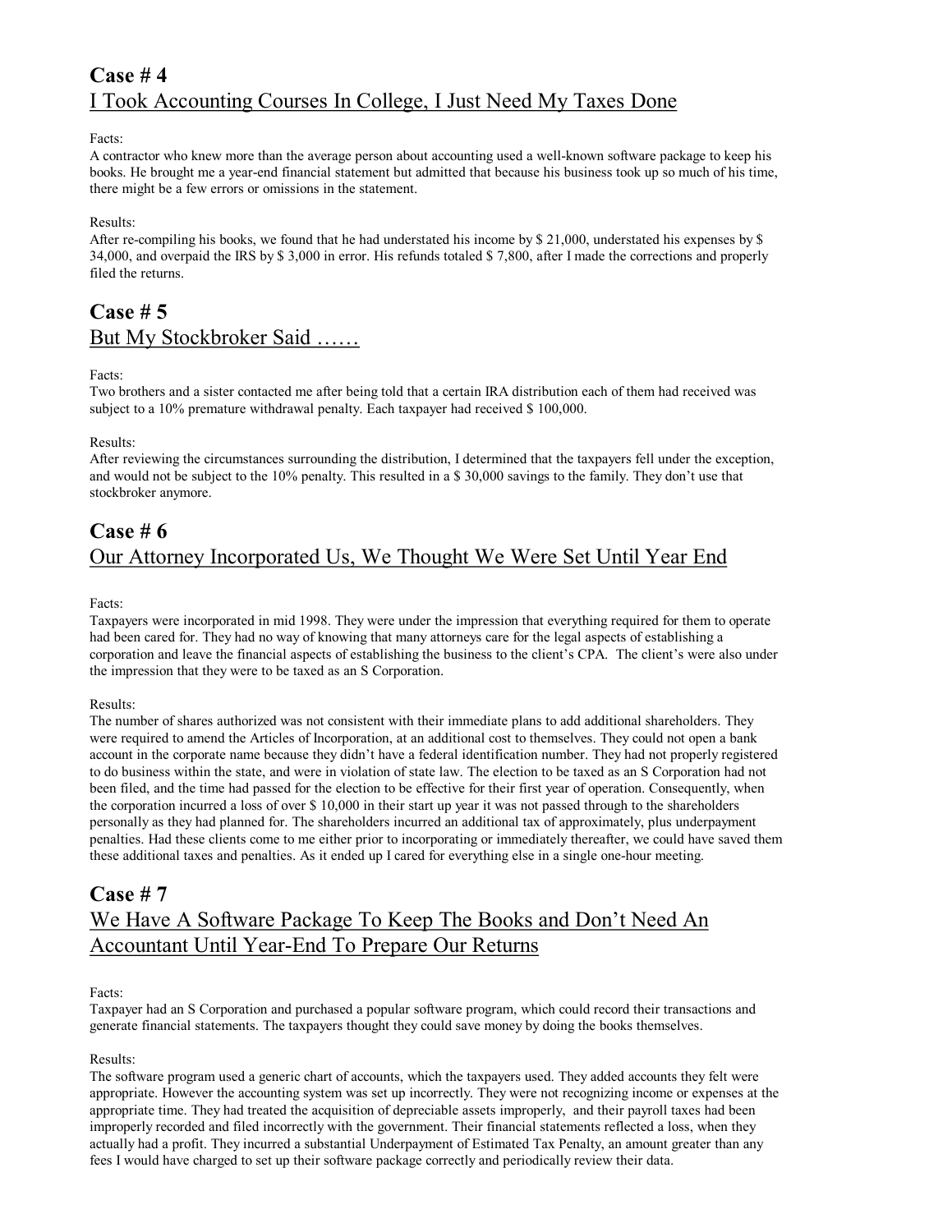### **Case # 4** I Took Accounting Courses In College, I Just Need My Taxes Done

#### Facts:

A contractor who knew more than the average person about accounting used a well-known software package to keep his books. He brought me a yearend financial statement but admitted that because his business took up so much of his time, there might be a few errors or omissions in the statement.

#### Results:

After re-compiling his books, we found that he had understated his income by \$ 21,000, understated his expenses by \$ 34,000, and overpaid the IRS by \$ 3,000 in error. His refunds totaled \$ 7,800, after I made the corrections and properly filed the returns.

### **Case # 5** But My Stockbroker Said ……

#### Facts:

Two brothers and a sister contacted me after being told that a certain IRA distribution each of them had received was subject to a 10% premature withdrawal penalty. Each taxpayer had received \$ 100,000.

#### Results:

After reviewing the circumstances surrounding the distribution, I determined that the taxpayers fell under the exception, and would not be subject to the 10% penalty. This resulted in a \$ 30,000 savings to the family. They don't use that stockbroker anymore.

### **Case # 6** Our Attorney Incorporated Us, We Thought We Were Set Until Year End

#### Facts:

Taxpayers were incorporated in mid 1998. They were under the impression that everything required for them to operate had been cared for. They had no way of knowing that many attorneys care for the legal aspects of establishing a corporation and leave the financial aspects of establishing the business to the client's CPA. The client's were also under the impression that they were to be taxed as an S Corporation.

#### Results:

The number of shares authorized was not consistent with their immediate plans to add additional shareholders. They were required to amend the Articles of Incorporation, at an additional cost to themselves. They could not open a bank account in the corporate name because they didn't have a federal identification number. They had not properly registered to do business within the state, and were in violation of state law. The election to be taxed as an S Corporation had not been filed, and the time had passed for the election to be effective for their first year of operation. Consequently, when the corporation incurred a loss of over \$ 10,000 in their start up year it was not passed through to the shareholders personally as they had planned for. The shareholders incurred an additional tax of approximately, plus underpayment penalties. Had these clients come to me either prior to incorporating or immediately thereafter, we could have saved them these additional taxes and penalties. As it ended up I cared for everything else in a single one-hour meeting.

### **Case # 7** We Have A Software Package To Keep The Books and Don't Need An Accountant Until Year-End To Prepare Our Returns

#### Facts:

Taxpayer had an S Corporation and purchased a popular software program, which could record their transactions and generate financial statements. The taxpayers thought they could save money by doing the books themselves.

#### Results:

The software program used a generic chart of accounts, which the taxpayers used. They added accounts they felt were appropriate. However the accounting system was set up incorrectly. They were not recognizing income or expenses at the appropriate time. They had treated the acquisition of depreciable assets improperly, and their payroll taxes had been improperly recorded and filed incorrectly with the government. Their financial statements reflected a loss, when they actually had a profit. They incurred a substantial Underpayment of Estimated Tax Penalty, an amount greater than any fees I would have charged to set up their software package correctly and periodically review their data.